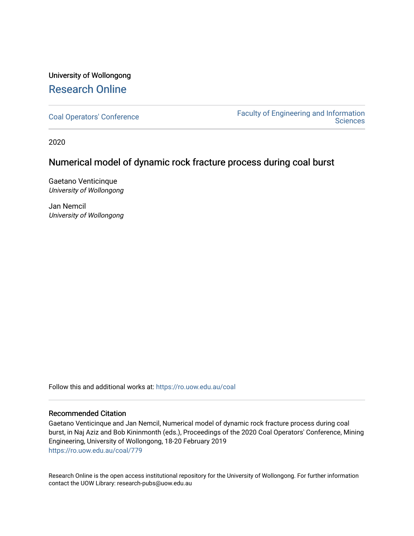# University of Wollongong [Research Online](https://ro.uow.edu.au/)

[Coal Operators' Conference](https://ro.uow.edu.au/coal) [Faculty of Engineering and Information](https://ro.uow.edu.au/eis)  **Sciences** 

2020

# Numerical model of dynamic rock fracture process during coal burst

Gaetano Venticinque University of Wollongong

Jan Nemcil University of Wollongong

Follow this and additional works at: [https://ro.uow.edu.au/coal](https://ro.uow.edu.au/coal?utm_source=ro.uow.edu.au%2Fcoal%2F779&utm_medium=PDF&utm_campaign=PDFCoverPages) 

#### Recommended Citation

Gaetano Venticinque and Jan Nemcil, Numerical model of dynamic rock fracture process during coal burst, in Naj Aziz and Bob Kininmonth (eds.), Proceedings of the 2020 Coal Operators' Conference, Mining Engineering, University of Wollongong, 18-20 February 2019 [https://ro.uow.edu.au/coal/779](https://ro.uow.edu.au/coal/779?utm_source=ro.uow.edu.au%2Fcoal%2F779&utm_medium=PDF&utm_campaign=PDFCoverPages) 

Research Online is the open access institutional repository for the University of Wollongong. For further information contact the UOW Library: research-pubs@uow.edu.au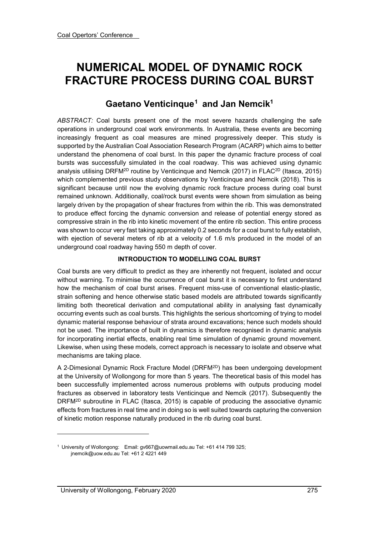# **NUMERICAL MODEL OF DYNAMIC ROCK FRACTURE PROCESS DURING COAL BURST**

# **Gaetano Venticinque[1](#page-1-0) and Jan Nemcik1**

*ABSTRACT:* Coal bursts present one of the most severe hazards challenging the safe operations in underground coal work environments. In Australia, these events are becoming increasingly frequent as coal measures are mined progressively deeper. This study is supported by the Australian Coal Association Research Program (ACARP) which aims to better understand the phenomena of coal burst. In this paper the dynamic fracture process of coal bursts was successfully simulated in the coal roadway. This was achieved using dynamic analysis utilising DRFM<sup>2D</sup> routine by Venticinque and Nemcik (2017) in FLAC<sup>2D</sup> (Itasca, 2015) which complemented previous study observations by Venticinque and Nemcik (2018). This is significant because until now the evolving dynamic rock fracture process during coal burst remained unknown. Additionally, coal/rock burst events were shown from simulation as being largely driven by the propagation of shear fractures from within the rib. This was demonstrated to produce effect forcing the dynamic conversion and release of potential energy stored as compressive strain in the rib into kinetic movement of the entire rib section. This entire process was shown to occur very fast taking approximately 0.2 seconds for a coal burst to fully establish, with ejection of several meters of rib at a velocity of 1.6 m/s produced in the model of an underground coal roadway having 550 m depth of cover.

# **INTRODUCTION TO MODELLING COAL BURST**

Coal bursts are very difficult to predict as they are inherently not frequent, isolated and occur without warning. To minimise the occurrence of coal burst it is necessary to first understand how the mechanism of coal burst arises. Frequent miss-use of conventional elastic-plastic, strain softening and hence otherwise static based models are attributed towards significantly limiting both theoretical derivation and computational ability in analysing fast dynamically occurring events such as coal bursts. This highlights the serious shortcoming of trying to model dynamic material response behaviour of strata around excavations; hence such models should not be used. The importance of built in dynamics is therefore recognised in dynamic analysis for incorporating inertial effects, enabling real time simulation of dynamic ground movement. Likewise, when using these models, correct approach is necessary to isolate and observe what mechanisms are taking place.

A 2-Dimesional Dynamic Rock Fracture Model (DRFM2D) has been undergoing development at the University of Wollongong for more than 5 years. The theoretical basis of this model has been successfully implemented across numerous problems with outputs producing model fractures as observed in laboratory tests Venticinque and Nemcik (2017). Subsequently the DRFM<sup>2D</sup> subroutine in FLAC (Itasca, 2015) is capable of producing the associative dynamic effects from fractures in real time and in doing so is well suited towards capturing the conversion of kinetic motion response naturally produced in the rib during coal burst.

-

<span id="page-1-0"></span><sup>1</sup> University of Wollongong: Email: gv667@uowmail.edu.au Tel: +61 414 799 325; jnemcik@uow.edu.au Tel: +61 2 4221 449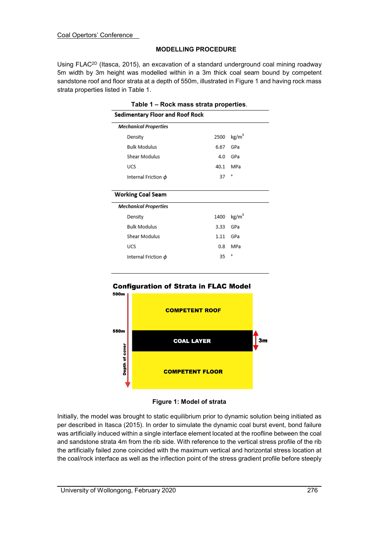## **MODELLING PROCEDURE**

Using FLAC<sup>2D</sup> (Itasca, 2015), an excavation of a standard underground coal mining roadway 5m width by 3m height was modelled within in a 3m thick coal seam bound by competent sandstone roof and floor strata at a depth of 550m, illustrated in Figure 1 and having rock mass strata properties listed in Table 1.

| Table 1 – Rock mass strata properties.<br>Sedimentary Floor and Roof Rock |      |                   |
|---------------------------------------------------------------------------|------|-------------------|
|                                                                           |      |                   |
| Density                                                                   | 2500 | kg/m <sup>3</sup> |
| <b>Bulk Modulus</b>                                                       | 6.67 | GPa               |
| Shear Modulus                                                             | 4.0  | GPa               |
| <b>UCS</b>                                                                | 40.1 | MPa               |
| Internal Friction $\phi$                                                  | 37   | ۰                 |
| <b>Working Coal Seam</b>                                                  |      |                   |
| <b>Mechanical Properties</b>                                              |      |                   |
| Density                                                                   | 1400 | kg/m <sup>3</sup> |
| <b>Bulk Modulus</b>                                                       | 3.33 | GPa               |
| Shear Modulus                                                             | 1.11 | GPa               |
| <b>UCS</b>                                                                | 0.8  | MPa               |
| Internal Friction $\phi$                                                  | 35   | ۰                 |
|                                                                           |      |                   |





Initially, the model was brought to static equilibrium prior to dynamic solution being initiated as per described in Itasca (2015). In order to simulate the dynamic coal burst event, bond failure was artificially induced within a single interface element located at the roofline between the coal and sandstone strata 4m from the rib side. With reference to the vertical stress profile of the rib the artificially failed zone coincided with the maximum vertical and horizontal stress location at the coal/rock interface as well as the inflection point of the stress gradient profile before steeply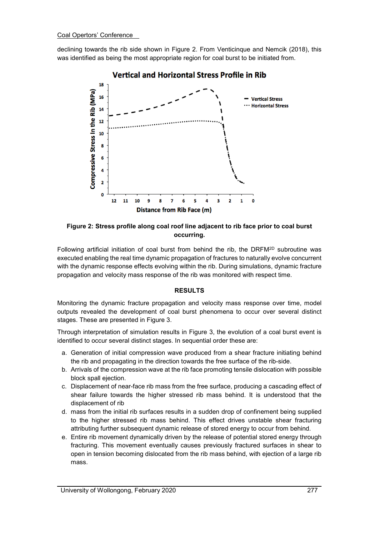declining towards the rib side shown in Figure 2. From Venticinque and Nemcik (2018), this was identified as being the most appropriate region for coal burst to be initiated from.



**Figure 2: Stress profile along coal roof line adjacent to rib face prior to coal burst occurring.** 

Following artificial initiation of coal burst from behind the rib, the DRFM2D subroutine was executed enabling the real time dynamic propagation of fractures to naturally evolve concurrent with the dynamic response effects evolving within the rib. During simulations, dynamic fracture propagation and velocity mass response of the rib was monitored with respect time.

# **RESULTS**

Monitoring the dynamic fracture propagation and velocity mass response over time, model outputs revealed the development of coal burst phenomena to occur over several distinct stages. These are presented in Figure 3.

Through interpretation of simulation results in Figure 3, the evolution of a coal burst event is identified to occur several distinct stages. In sequential order these are:

- a. Generation of initial compression wave produced from a shear fracture initiating behind the rib and propagating in the direction towards the free surface of the rib-side.
- b. Arrivals of the compression wave at the rib face promoting tensile dislocation with possible block spall ejection.
- c. Displacement of near-face rib mass from the free surface, producing a cascading effect of shear failure towards the higher stressed rib mass behind. It is understood that the displacement of rib
- d. mass from the initial rib surfaces results in a sudden drop of confinement being supplied to the higher stressed rib mass behind. This effect drives unstable shear fracturing attributing further subsequent dynamic release of stored energy to occur from behind.
- e. Entire rib movement dynamically driven by the release of potential stored energy through fracturing. This movement eventually causes previously fractured surfaces in shear to open in tension becoming dislocated from the rib mass behind, with ejection of a large rib mass.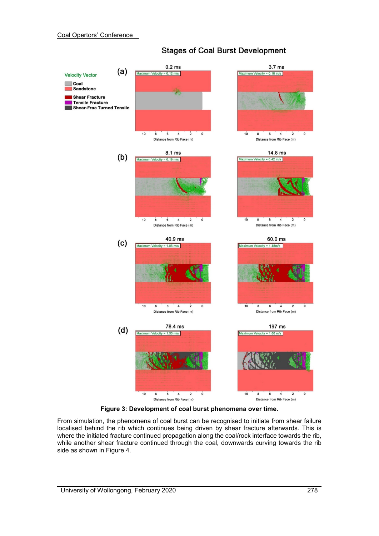

# **Stages of Coal Burst Development**

**Figure 3: Development of coal burst phenomena over time.** 

From simulation, the phenomena of coal burst can be recognised to initiate from shear failure localised behind the rib which continues being driven by shear fracture afterwards. This is where the initiated fracture continued propagation along the coal/rock interface towards the rib, while another shear fracture continued through the coal, downwards curving towards the rib side as shown in Figure 4.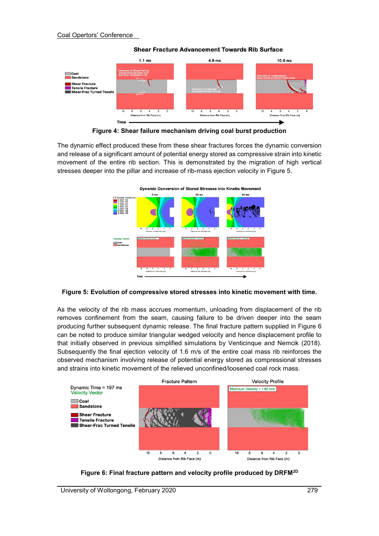

**Shear Fracture Advancement Towards Rib Surface** 

**Figure 4: Shear failure mechanism driving coal burst production**

The dynamic effect produced these from these shear fractures forces the dynamic conversion and release of a significant amount of potential energy stored as compressive strain into kinetic movement of the entire rib section. This is demonstrated by the migration of high vertical stresses deeper into the pillar and increase of rib-mass ejection velocity in Figure 5.



**Figure 5: Evolution of compressive stored stresses into kinetic movement with time.**

As the velocity of the rib mass accrues momentum, unloading from displacement of the rib removes confinement from the seam, causing failure to be driven deeper into the seam producing further subsequent dynamic release. The final fracture pattern supplied in Figure 6 can be noted to produce similar triangular wedged velocity and hence displacement profile to that initially observed in previous simplified simulations by Venticinque and Nemcik (2018). Subsequently the final ejection velocity of 1.6 m/s of the entire coal mass rib reinforces the observed mechanism involving release of potential energy stored as compressional stresses and strains into kinetic movement of the relieved unconfined/loosened coal rock mass.